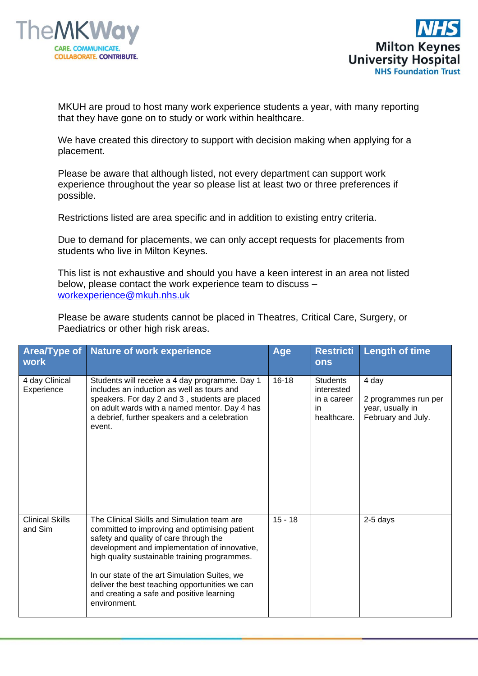



MKUH are proud to host many work experience students a year, with many reporting that they have gone on to study or work within healthcare.

We have created this directory to support with decision making when applying for a placement.

Please be aware that although listed, not every department can support work experience throughout the year so please list at least two or three preferences if possible.

Restrictions listed are area specific and in addition to existing entry criteria.

Due to demand for placements, we can only accept requests for placements from students who live in Milton Keynes.

This list is not exhaustive and should you have a keen interest in an area not listed below, please contact the work experience team to discuss – [workexperience@mkuh.nhs.uk](mailto:workexperience@mkuh.nhs.uk)

Please be aware students cannot be placed in Theatres, Critical Care, Surgery, or Paediatrics or other high risk areas.

| work                              | <b>Area/Type of Nature of work experience</b>                                                                                                                                                                                                                                                                                                                                                            | Age       | <b>Restricti</b><br>ons                                            | <b>Length of time</b>                                                   |
|-----------------------------------|----------------------------------------------------------------------------------------------------------------------------------------------------------------------------------------------------------------------------------------------------------------------------------------------------------------------------------------------------------------------------------------------------------|-----------|--------------------------------------------------------------------|-------------------------------------------------------------------------|
| 4 day Clinical<br>Experience      | Students will receive a 4 day programme. Day 1<br>includes an induction as well as tours and<br>speakers. For day 2 and 3, students are placed<br>on adult wards with a named mentor. Day 4 has<br>a debrief, further speakers and a celebration<br>event.                                                                                                                                               | $16 - 18$ | <b>Students</b><br>interested<br>in a career<br>in.<br>healthcare. | 4 day<br>2 programmes run per<br>year, usually in<br>February and July. |
| <b>Clinical Skills</b><br>and Sim | The Clinical Skills and Simulation team are<br>committed to improving and optimising patient<br>safety and quality of care through the<br>development and implementation of innovative,<br>high quality sustainable training programmes.<br>In our state of the art Simulation Suites, we<br>deliver the best teaching opportunities we can<br>and creating a safe and positive learning<br>environment. | $15 - 18$ |                                                                    | 2-5 days                                                                |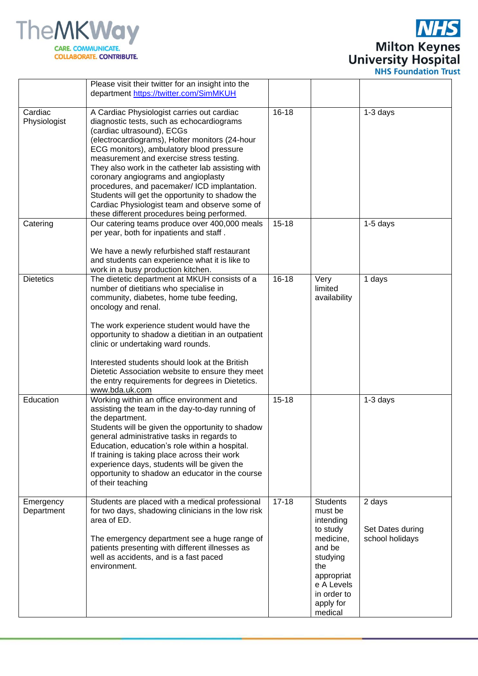

5 **Milton Keynes**<br>University Hospital<br>NHS Foundation Trust

|                         | Please visit their twitter for an insight into the<br>department https://twitter.com/SimMKUH                                                                                                                                                                                                                                                                                                                                                                                                                                                                   |           |                                                                                                                                                                  |                                               |
|-------------------------|----------------------------------------------------------------------------------------------------------------------------------------------------------------------------------------------------------------------------------------------------------------------------------------------------------------------------------------------------------------------------------------------------------------------------------------------------------------------------------------------------------------------------------------------------------------|-----------|------------------------------------------------------------------------------------------------------------------------------------------------------------------|-----------------------------------------------|
| Cardiac<br>Physiologist | A Cardiac Physiologist carries out cardiac<br>diagnostic tests, such as echocardiograms<br>(cardiac ultrasound), ECGs<br>(electrocardiograms), Holter monitors (24-hour<br>ECG monitors), ambulatory blood pressure<br>measurement and exercise stress testing.<br>They also work in the catheter lab assisting with<br>coronary angiograms and angioplasty<br>procedures, and pacemaker/ ICD implantation.<br>Students will get the opportunity to shadow the<br>Cardiac Physiologist team and observe some of<br>these different procedures being performed. | $16 - 18$ |                                                                                                                                                                  | 1-3 days                                      |
| Catering                | Our catering teams produce over 400,000 meals<br>per year, both for inpatients and staff.<br>We have a newly refurbished staff restaurant<br>and students can experience what it is like to<br>work in a busy production kitchen.                                                                                                                                                                                                                                                                                                                              | $15 - 18$ |                                                                                                                                                                  | 1-5 days                                      |
| <b>Dietetics</b>        | The dietetic department at MKUH consists of a<br>number of dietitians who specialise in<br>community, diabetes, home tube feeding,<br>oncology and renal.<br>The work experience student would have the<br>opportunity to shadow a dietitian in an outpatient<br>clinic or undertaking ward rounds.<br>Interested students should look at the British<br>Dietetic Association website to ensure they meet<br>the entry requirements for degrees in Dietetics.<br>www.bda.uk.com                                                                                | $16 - 18$ | Very<br>limited<br>availability                                                                                                                                  | 1 days                                        |
| Education               | Working within an office environment and<br>assisting the team in the day-to-day running of<br>the department.<br>Students will be given the opportunity to shadow<br>general administrative tasks in regards to<br>Education, education's role within a hospital.<br>If training is taking place across their work<br>experience days, students will be given the<br>opportunity to shadow an educator in the course<br>of their teaching                                                                                                                     | $15 - 18$ |                                                                                                                                                                  | 1-3 days                                      |
| Emergency<br>Department | Students are placed with a medical professional<br>for two days, shadowing clinicians in the low risk<br>area of ED.<br>The emergency department see a huge range of<br>patients presenting with different illnesses as<br>well as accidents, and is a fast paced<br>environment.                                                                                                                                                                                                                                                                              | $17 - 18$ | <b>Students</b><br>must be<br>intending<br>to study<br>medicine,<br>and be<br>studying<br>the<br>appropriat<br>e A Levels<br>in order to<br>apply for<br>medical | 2 days<br>Set Dates during<br>school holidays |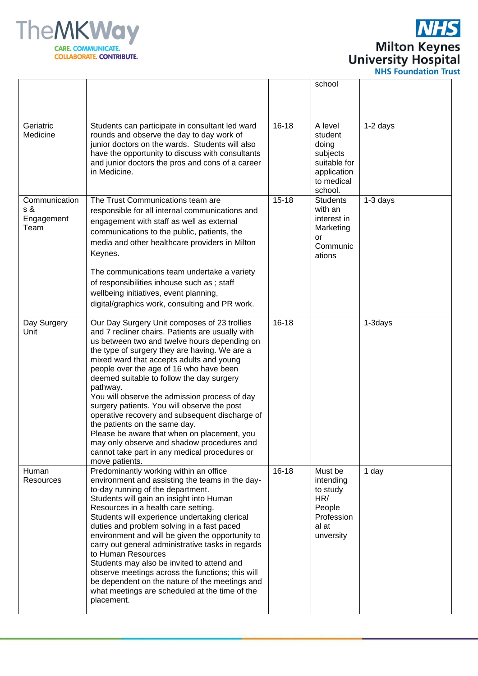

5 **Milton Keynes**<br>University Hospital<br>NHS Foundation Trust

|                                            |                                                                                                                                                                                                                                                                                                                                                                                                                                                                                                                                                                                                                                                                                                      |           | school                                                                                          |          |
|--------------------------------------------|------------------------------------------------------------------------------------------------------------------------------------------------------------------------------------------------------------------------------------------------------------------------------------------------------------------------------------------------------------------------------------------------------------------------------------------------------------------------------------------------------------------------------------------------------------------------------------------------------------------------------------------------------------------------------------------------------|-----------|-------------------------------------------------------------------------------------------------|----------|
|                                            |                                                                                                                                                                                                                                                                                                                                                                                                                                                                                                                                                                                                                                                                                                      |           |                                                                                                 |          |
| Geriatric<br>Medicine                      | Students can participate in consultant led ward<br>rounds and observe the day to day work of<br>junior doctors on the wards. Students will also<br>have the opportunity to discuss with consultants<br>and junior doctors the pros and cons of a career<br>in Medicine.                                                                                                                                                                                                                                                                                                                                                                                                                              | $16 - 18$ | A level<br>student<br>doing<br>subjects<br>suitable for<br>application<br>to medical<br>school. | 1-2 days |
| Communication<br>s &<br>Engagement<br>Team | The Trust Communications team are<br>responsible for all internal communications and<br>engagement with staff as well as external<br>communications to the public, patients, the<br>media and other healthcare providers in Milton<br>Keynes.<br>The communications team undertake a variety<br>of responsibilities inhouse such as ; staff<br>wellbeing initiatives, event planning,<br>digital/graphics work, consulting and PR work.                                                                                                                                                                                                                                                              | $15 - 18$ | <b>Students</b><br>with an<br>interest in<br>Marketing<br>or<br>Communic<br>ations              | 1-3 days |
| Day Surgery<br>Unit                        | Our Day Surgery Unit composes of 23 trollies<br>and 7 recliner chairs. Patients are usually with<br>us between two and twelve hours depending on<br>the type of surgery they are having. We are a<br>mixed ward that accepts adults and young<br>people over the age of 16 who have been<br>deemed suitable to follow the day surgery<br>pathway.<br>You will observe the admission process of day<br>surgery patients. You will observe the post<br>operative recovery and subsequent discharge of<br>the patients on the same day.<br>Please be aware that when on placement, you<br>may only observe and shadow procedures and<br>cannot take part in any medical procedures or<br>move patients. | $16 - 18$ |                                                                                                 | 1-3days  |
| Human<br>Resources                         | Predominantly working within an office<br>environment and assisting the teams in the day-<br>to-day running of the department.<br>Students will gain an insight into Human<br>Resources in a health care setting.<br>Students will experience undertaking clerical<br>duties and problem solving in a fast paced<br>environment and will be given the opportunity to<br>carry out general administrative tasks in regards<br>to Human Resources<br>Students may also be invited to attend and<br>observe meetings across the functions; this will<br>be dependent on the nature of the meetings and<br>what meetings are scheduled at the time of the<br>placement.                                  | $16 - 18$ | Must be<br>intending<br>to study<br>HR/<br>People<br>Profession<br>al at<br>unversity           | 1 day    |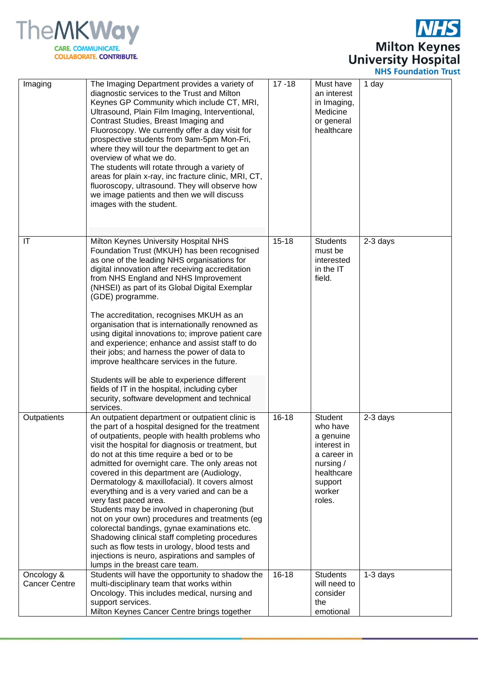



| Imaging                            | The Imaging Department provides a variety of<br>diagnostic services to the Trust and Milton<br>Keynes GP Community which include CT, MRI,<br>Ultrasound, Plain Film Imaging, Interventional,<br>Contrast Studies, Breast Imaging and<br>Fluoroscopy. We currently offer a day visit for<br>prospective students from 9am-5pm Mon-Fri,<br>where they will tour the department to get an<br>overview of what we do.<br>The students will rotate through a variety of<br>areas for plain x-ray, inc fracture clinic, MRI, CT,<br>fluoroscopy, ultrasound. They will observe how<br>we image patients and then we will discuss<br>images with the student.                                                                                                                                                                              | $17 - 18$ | Must have<br>an interest<br>in Imaging,<br>Medicine<br>or general<br>healthcare                                         | 1 day    |
|------------------------------------|-------------------------------------------------------------------------------------------------------------------------------------------------------------------------------------------------------------------------------------------------------------------------------------------------------------------------------------------------------------------------------------------------------------------------------------------------------------------------------------------------------------------------------------------------------------------------------------------------------------------------------------------------------------------------------------------------------------------------------------------------------------------------------------------------------------------------------------|-----------|-------------------------------------------------------------------------------------------------------------------------|----------|
| IT                                 | Milton Keynes University Hospital NHS<br>Foundation Trust (MKUH) has been recognised<br>as one of the leading NHS organisations for<br>digital innovation after receiving accreditation<br>from NHS England and NHS Improvement<br>(NHSEI) as part of its Global Digital Exemplar<br>(GDE) programme.<br>The accreditation, recognises MKUH as an<br>organisation that is internationally renowned as<br>using digital innovations to; improve patient care<br>and experience; enhance and assist staff to do<br>their jobs; and harness the power of data to<br>improve healthcare services in the future.<br>Students will be able to experience different<br>fields of IT in the hospital, including cyber                                                                                                                       | $15 - 18$ | <b>Students</b><br>must be<br>interested<br>in the IT<br>field.                                                         | 2-3 days |
|                                    | security, software development and technical<br>services.                                                                                                                                                                                                                                                                                                                                                                                                                                                                                                                                                                                                                                                                                                                                                                           |           |                                                                                                                         |          |
| Outpatients                        | An outpatient department or outpatient clinic is<br>the part of a hospital designed for the treatment<br>of outpatients, people with health problems who<br>visit the hospital for diagnosis or treatment, but<br>do not at this time require a bed or to be<br>admitted for overnight care. The only areas not<br>covered in this department are (Audiology,<br>Dermatology & maxillofacial). It covers almost<br>everything and is a very varied and can be a<br>very fast paced area.<br>Students may be involved in chaperoning (but<br>not on your own) procedures and treatments (eg<br>colorectal bandings, gynae examinations etc.<br>Shadowing clinical staff completing procedures<br>such as flow tests in urology, blood tests and<br>injections is neuro, aspirations and samples of<br>lumps in the breast care team. | $16 - 18$ | Student<br>who have<br>a genuine<br>interest in<br>a career in<br>nursing/<br>healthcare<br>support<br>worker<br>roles. | 2-3 days |
| Oncology &<br><b>Cancer Centre</b> | Students will have the opportunity to shadow the<br>multi-disciplinary team that works within<br>Oncology. This includes medical, nursing and<br>support services.<br>Milton Keynes Cancer Centre brings together                                                                                                                                                                                                                                                                                                                                                                                                                                                                                                                                                                                                                   | $16 - 18$ | <b>Students</b><br>will need to<br>consider<br>the<br>emotional                                                         | 1-3 days |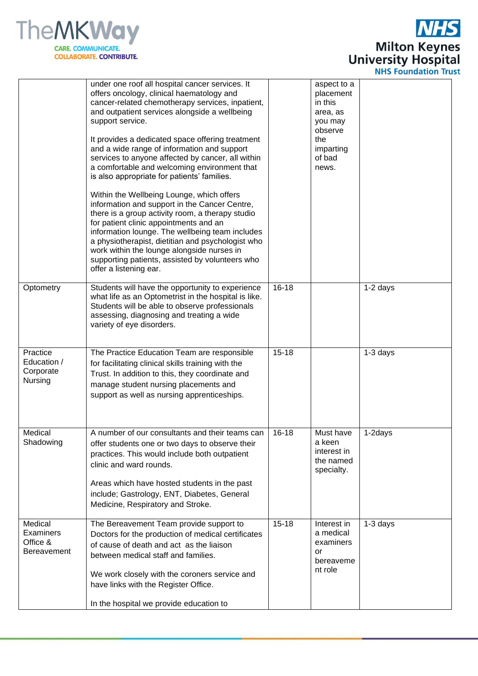

5  $\bf\Lambda$ **Milton Keynes**<br>University Hospital<br>NHS Foundation Trust

|                                                        | under one roof all hospital cancer services. It<br>offers oncology, clinical haematology and<br>cancer-related chemotherapy services, inpatient,<br>and outpatient services alongside a wellbeing<br>support service.<br>It provides a dedicated space offering treatment<br>and a wide range of information and support<br>services to anyone affected by cancer, all within<br>a comfortable and welcoming environment that<br>is also appropriate for patients' families.<br>Within the Wellbeing Lounge, which offers<br>information and support in the Cancer Centre,<br>there is a group activity room, a therapy studio<br>for patient clinic appointments and an<br>information lounge. The wellbeing team includes<br>a physiotherapist, dietitian and psychologist who<br>work within the lounge alongside nurses in<br>supporting patients, assisted by volunteers who<br>offer a listening ear. |           | aspect to a<br>placement<br>in this<br>area, as<br>you may<br>observe<br>the<br>imparting<br>of bad<br>news. |          |
|--------------------------------------------------------|-------------------------------------------------------------------------------------------------------------------------------------------------------------------------------------------------------------------------------------------------------------------------------------------------------------------------------------------------------------------------------------------------------------------------------------------------------------------------------------------------------------------------------------------------------------------------------------------------------------------------------------------------------------------------------------------------------------------------------------------------------------------------------------------------------------------------------------------------------------------------------------------------------------|-----------|--------------------------------------------------------------------------------------------------------------|----------|
| Optometry                                              | Students will have the opportunity to experience<br>what life as an Optometrist in the hospital is like.<br>Students will be able to observe professionals<br>assessing, diagnosing and treating a wide<br>variety of eye disorders.                                                                                                                                                                                                                                                                                                                                                                                                                                                                                                                                                                                                                                                                        | $16 - 18$ |                                                                                                              | 1-2 days |
| Practice<br>Education /<br>Corporate<br><b>Nursing</b> | The Practice Education Team are responsible<br>for facilitating clinical skills training with the<br>Trust. In addition to this, they coordinate and<br>manage student nursing placements and<br>support as well as nursing apprenticeships.                                                                                                                                                                                                                                                                                                                                                                                                                                                                                                                                                                                                                                                                | $15 - 18$ |                                                                                                              | 1-3 days |
| Medical<br>Shadowing                                   | A number of our consultants and their teams can<br>offer students one or two days to observe their<br>practices. This would include both outpatient<br>clinic and ward rounds.<br>Areas which have hosted students in the past<br>include; Gastrology, ENT, Diabetes, General<br>Medicine, Respiratory and Stroke.                                                                                                                                                                                                                                                                                                                                                                                                                                                                                                                                                                                          | $16 - 18$ | Must have<br>a keen<br>interest in<br>the named<br>specialty.                                                | 1-2days  |
| Medical<br>Examiners<br>Office &<br>Bereavement        | The Bereavement Team provide support to<br>Doctors for the production of medical certificates<br>of cause of death and act as the liaison<br>between medical staff and families.<br>We work closely with the coroners service and<br>have links with the Register Office.<br>In the hospital we provide education to                                                                                                                                                                                                                                                                                                                                                                                                                                                                                                                                                                                        | $15 - 18$ | Interest in<br>a medical<br>examiners<br>or<br>bereaveme<br>nt role                                          | 1-3 days |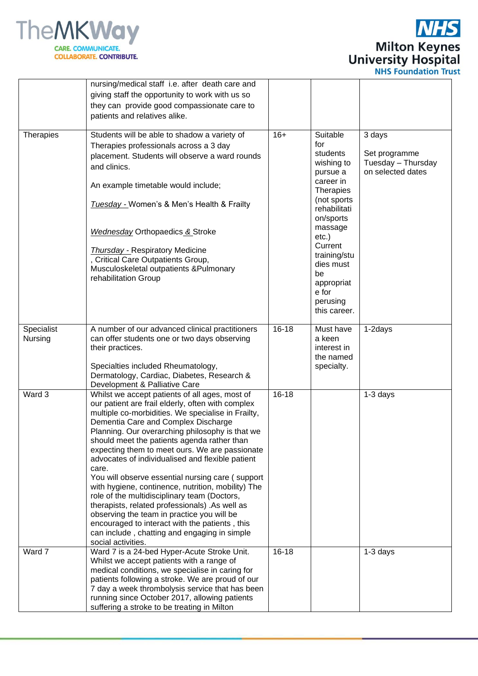



|                       | nursing/medical staff i.e. after death care and<br>giving staff the opportunity to work with us so<br>they can provide good compassionate care to<br>patients and relatives alike.                                                                                                                                                                                                                                                                                                                                                                                                                                                                                                                                                                                                                  |                        |                                                                                                                                                                                                                                                         |                                                                    |
|-----------------------|-----------------------------------------------------------------------------------------------------------------------------------------------------------------------------------------------------------------------------------------------------------------------------------------------------------------------------------------------------------------------------------------------------------------------------------------------------------------------------------------------------------------------------------------------------------------------------------------------------------------------------------------------------------------------------------------------------------------------------------------------------------------------------------------------------|------------------------|---------------------------------------------------------------------------------------------------------------------------------------------------------------------------------------------------------------------------------------------------------|--------------------------------------------------------------------|
| Therapies             | Students will be able to shadow a variety of<br>Therapies professionals across a 3 day<br>placement. Students will observe a ward rounds<br>and clinics.<br>An example timetable would include;<br>Tuesday - Women's & Men's Health & Frailty<br><b>Wednesday Orthopaedics &amp; Stroke</b><br>Thursday - Respiratory Medicine<br><b>Critical Care Outpatients Group,</b><br>Musculoskeletal outpatients &Pulmonary<br>rehabilitation Group                                                                                                                                                                                                                                                                                                                                                         | $16+$                  | Suitable<br>for<br>students<br>wishing to<br>pursue a<br>career in<br><b>Therapies</b><br>(not sports<br>rehabilitati<br>on/sports<br>massage<br>etc.)<br>Current<br>training/stu<br>dies must<br>be<br>appropriat<br>e for<br>perusing<br>this career. | 3 days<br>Set programme<br>Tuesday - Thursday<br>on selected dates |
| Specialist<br>Nursing | A number of our advanced clinical practitioners<br>can offer students one or two days observing<br>their practices.<br>Specialties included Rheumatology,<br>Dermatology, Cardiac, Diabetes, Research &<br>Development & Palliative Care                                                                                                                                                                                                                                                                                                                                                                                                                                                                                                                                                            | $16 - 18$              | Must have<br>a keen<br>interest in<br>the named<br>specialty.                                                                                                                                                                                           | 1-2days                                                            |
| Ward 3<br>Ward 7      | Whilst we accept patients of all ages, most of<br>our patient are frail elderly, often with complex<br>multiple co-morbidities. We specialise in Frailty,<br>Dementia Care and Complex Discharge<br>Planning. Our overarching philosophy is that we<br>should meet the patients agenda rather than<br>expecting them to meet ours. We are passionate<br>advocates of individualised and flexible patient<br>care.<br>You will observe essential nursing care (support<br>with hygiene, continence, nutrition, mobility) The<br>role of the multidisciplinary team (Doctors,<br>therapists, related professionals) .As well as<br>observing the team in practice you will be<br>encouraged to interact with the patients, this<br>can include, chatting and engaging in simple<br>social activities. | $16 - 18$<br>$16 - 18$ |                                                                                                                                                                                                                                                         | 1-3 days                                                           |
|                       | Ward 7 is a 24-bed Hyper-Acute Stroke Unit.<br>Whilst we accept patients with a range of<br>medical conditions, we specialise in caring for<br>patients following a stroke. We are proud of our<br>7 day a week thrombolysis service that has been<br>running since October 2017, allowing patients<br>suffering a stroke to be treating in Milton                                                                                                                                                                                                                                                                                                                                                                                                                                                  |                        |                                                                                                                                                                                                                                                         | 1-3 days                                                           |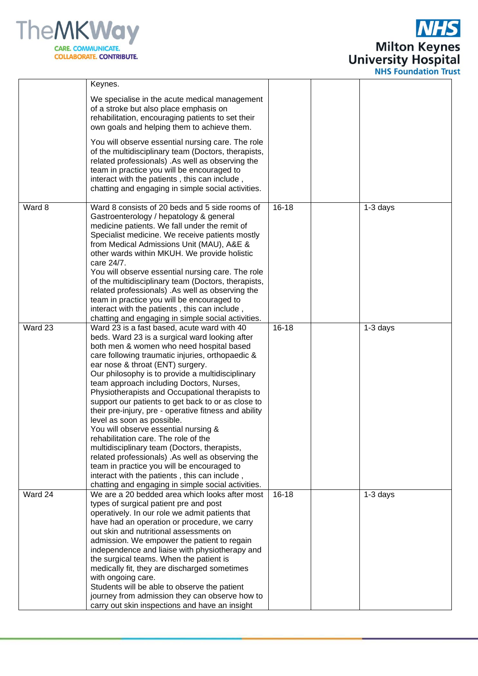

5  $\bf\Lambda$ **Milton Keynes**<br>University Hospital<br>NHS Foundation Trust

|         | Keynes.                                                                                                                                                                                                                                                                                                                                                                                                                                                                                                                                                                                                                                                                                                                                                                                                                                                                    |           |          |
|---------|----------------------------------------------------------------------------------------------------------------------------------------------------------------------------------------------------------------------------------------------------------------------------------------------------------------------------------------------------------------------------------------------------------------------------------------------------------------------------------------------------------------------------------------------------------------------------------------------------------------------------------------------------------------------------------------------------------------------------------------------------------------------------------------------------------------------------------------------------------------------------|-----------|----------|
|         | We specialise in the acute medical management<br>of a stroke but also place emphasis on<br>rehabilitation, encouraging patients to set their<br>own goals and helping them to achieve them.                                                                                                                                                                                                                                                                                                                                                                                                                                                                                                                                                                                                                                                                                |           |          |
|         | You will observe essential nursing care. The role<br>of the multidisciplinary team (Doctors, therapists,<br>related professionals) .As well as observing the<br>team in practice you will be encouraged to<br>interact with the patients, this can include,<br>chatting and engaging in simple social activities.                                                                                                                                                                                                                                                                                                                                                                                                                                                                                                                                                          |           |          |
| Ward 8  | Ward 8 consists of 20 beds and 5 side rooms of<br>Gastroenterology / hepatology & general<br>medicine patients. We fall under the remit of<br>Specialist medicine. We receive patients mostly<br>from Medical Admissions Unit (MAU), A&E &<br>other wards within MKUH. We provide holistic<br>care 24/7.<br>You will observe essential nursing care. The role<br>of the multidisciplinary team (Doctors, therapists,<br>related professionals) .As well as observing the<br>team in practice you will be encouraged to<br>interact with the patients, this can include,<br>chatting and engaging in simple social activities.                                                                                                                                                                                                                                              | $16 - 18$ | 1-3 days |
| Ward 23 | Ward 23 is a fast based, acute ward with 40<br>beds. Ward 23 is a surgical ward looking after<br>both men & women who need hospital based<br>care following traumatic injuries, orthopaedic &<br>ear nose & throat (ENT) surgery.<br>Our philosophy is to provide a multidisciplinary<br>team approach including Doctors, Nurses,<br>Physiotherapists and Occupational therapists to<br>support our patients to get back to or as close to<br>their pre-injury, pre - operative fitness and ability<br>level as soon as possible.<br>You will observe essential nursing &<br>rehabilitation care. The role of the<br>multidisciplinary team (Doctors, therapists,<br>related professionals) .As well as observing the<br>team in practice you will be encouraged to<br>interact with the patients, this can include,<br>chatting and engaging in simple social activities. | $16 - 18$ | 1-3 days |
| Ward 24 | We are a 20 bedded area which looks after most<br>types of surgical patient pre and post<br>operatively. In our role we admit patients that<br>have had an operation or procedure, we carry<br>out skin and nutritional assessments on<br>admission. We empower the patient to regain<br>independence and liaise with physiotherapy and<br>the surgical teams. When the patient is<br>medically fit, they are discharged sometimes<br>with ongoing care.<br>Students will be able to observe the patient<br>journey from admission they can observe how to<br>carry out skin inspections and have an insight                                                                                                                                                                                                                                                               | $16 - 18$ | 1-3 days |